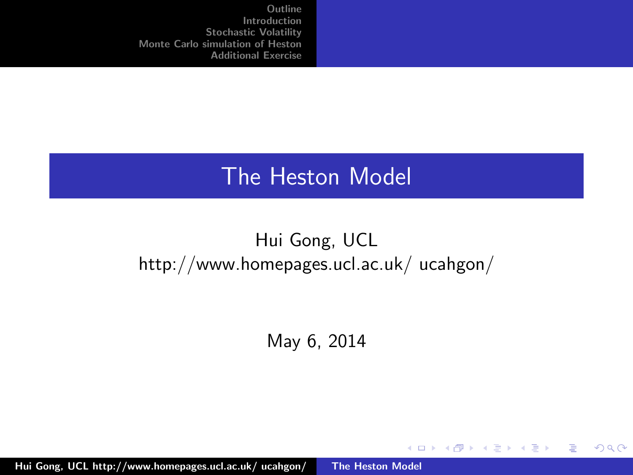# <span id="page-0-0"></span>The Heston Model

## Hui Gong, UCL http://www.homepages.ucl.ac.uk/ ucahgon/

May 6, 2014

**K ロ ⊁ K 伊 ⊁ K 店** 

**IN** ∢ 重.  $2Q$ 

扂

Hui Gong, UCL http://www.homepages.ucl.ac.uk/ ucahgon/ [The Heston Model](#page-11-0)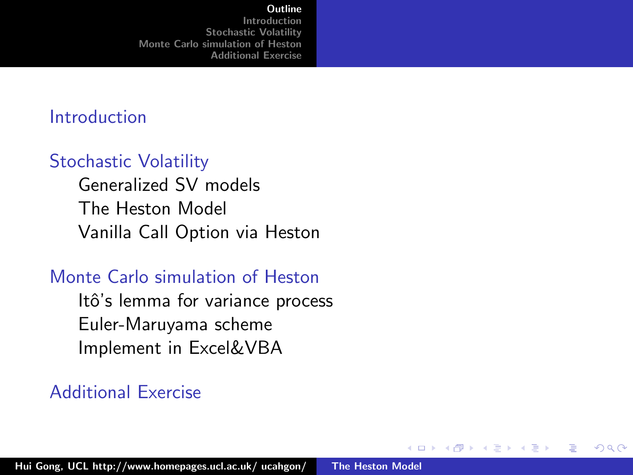## <span id="page-1-0"></span>[Introduction](#page-2-0)

## [Stochastic Volatility](#page-3-0)

[Generalized SV models](#page-3-0) [The Heston Model](#page-4-0) [Vanilla Call Option via Heston](#page-6-0)

## [Monte Carlo simulation of Heston](#page-7-0)

Itô's lemma for variance process [Euler-Maruyama scheme](#page-8-0) [Implement in Excel&VBA](#page-9-0)

## [Additional Exercise](#page-11-0)

 $\leftarrow$ 

A

へのへ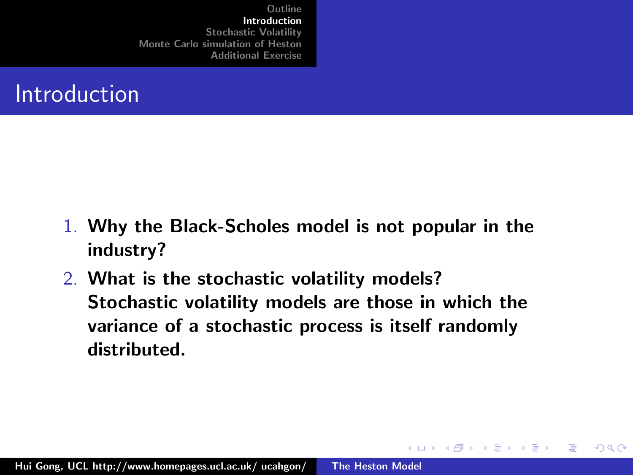# <span id="page-2-0"></span>Introduction

- 1. Why the Black-Scholes model is not popular in the industry?
- 2. What is the stochastic volatility models? Stochastic volatility models are those in which the variance of a stochastic process is itself randomly distributed.

 $\leftarrow$   $\Box$ 

- 4 桐 ト 4 三

 $2Q$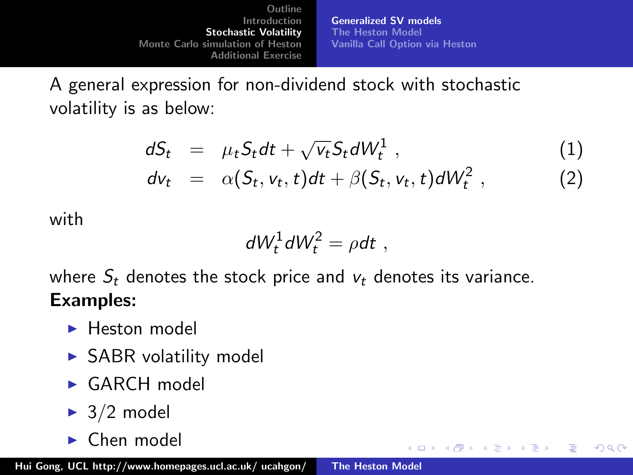[Generalized SV models](#page-3-0) [The Heston Model](#page-4-0) [Vanilla Call Option via Heston](#page-6-0)

 $\leftarrow$   $\Box$ 

 $\leftarrow$   $\overline{m}$   $\rightarrow$ 

 $2Q$ 

<span id="page-3-0"></span>A general expression for non-dividend stock with stochastic volatility is as below:

$$
dS_t = \mu_t S_t dt + \sqrt{\nu_t} S_t dW_t^1 , \qquad (1)
$$

$$
dv_t = \alpha(S_t, v_t, t)dt + \beta(S_t, v_t, t)dW_t^2, \qquad (2)
$$

with

$$
dW_t^1 dW_t^2 = \rho dt ,
$$

where  $S_t$  denotes the stock price and  $v_t$  denotes its variance. Examples:

- $\blacktriangleright$  Heston model
- $\triangleright$  SABR volatility model
- $\blacktriangleright$  GARCH model
- $\blacktriangleright$  3/2 model
- $\blacktriangleright$  Chen model

Hui Gong, UCL http://www.homepages.ucl.ac.uk/ ucahgon/ [The Heston Model](#page-0-0)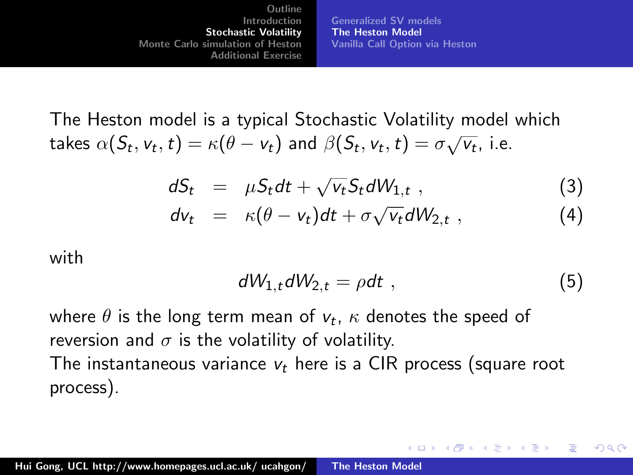[Generalized SV models](#page-3-0) [The Heston Model](#page-4-0) [Vanilla Call Option via Heston](#page-6-0)

<span id="page-4-0"></span>The Heston model is a typical Stochastic Volatility model which takes  $\alpha(S_t, v_t, t) = \kappa(\theta - v_t)$  and  $\beta(S_t, v_t, t) = \sigma \sqrt{v_t}$ , i.e.

$$
dS_t = \mu S_t dt + \sqrt{v_t} S_t dW_{1,t} , \qquad (3)
$$

$$
dv_t = \kappa(\theta - v_t)dt + \sigma \sqrt{v_t}dW_{2,t} , \qquad (4)
$$

with

$$
dW_{1,t}dW_{2,t} = \rho dt , \qquad (5)
$$

イロメ イタメ イラメ

へのへ

where  $\theta$  is the long term mean of  $\mathsf{v}_t$ ,  $\kappa$  denotes the speed of reversion and  $\sigma$  is the volatility of volatility.

The instantaneous variance  $v_t$  here is a CIR process (square root process).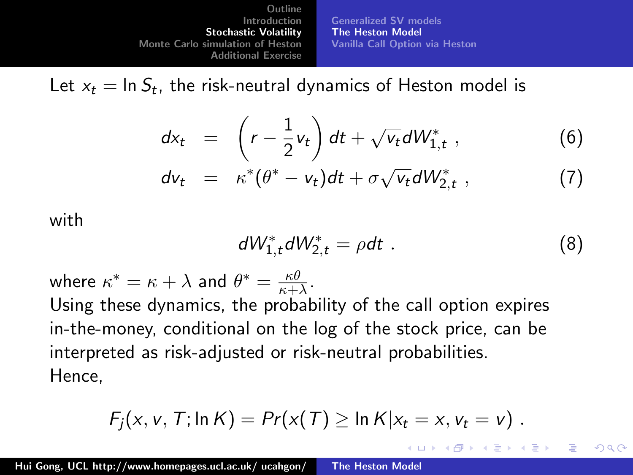[Generalized SV models](#page-3-0) [The Heston Model](#page-4-0) [Vanilla Call Option via Heston](#page-6-0)

Let  $x_t = \ln S_t$ , the risk-neutral dynamics of Heston model is

$$
dx_t = \left(r - \frac{1}{2}v_t\right)dt + \sqrt{v_t}dW_{1,t}^*, \qquad (6)
$$

$$
dv_t = \kappa^* (\theta^* - v_t) dt + \sigma \sqrt{v_t} dW_{2,t}^*, \qquad (7)
$$

with

$$
dW_{1,t}^* dW_{2,t}^* = \rho dt \tag{8}
$$

 $\left\{ \begin{array}{ccc} 1 & 0 & 0 \\ 0 & 1 & 0 \end{array} \right\}$  ,  $\left\{ \begin{array}{ccc} 0 & 0 & 0 \\ 0 & 0 & 0 \end{array} \right\}$ 

へのへ

where  $\kappa^* = \kappa + \lambda$  and  $\theta^* = \frac{\kappa \theta}{\kappa + \lambda}$  $\frac{\kappa \theta}{\kappa + \lambda}$ . Using these dynamics, the probability of the call option expires in-the-money, conditional on the log of the stock price, can be interpreted as risk-adjusted or risk-neutral probabilities. Hence,

$$
F_j(x, v, T; \ln K) = Pr(x(T) \geq \ln K | x_t = x, v_t = v).
$$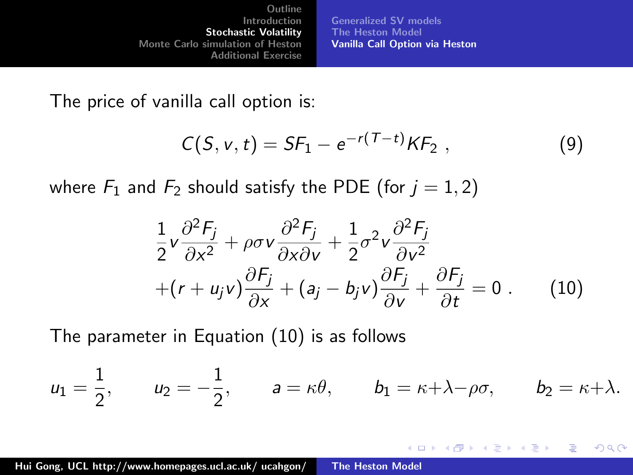[Generalized SV models](#page-3-0) [The Heston Model](#page-4-0) [Vanilla Call Option via Heston](#page-6-0)

<span id="page-6-0"></span>The price of vanilla call option is:

$$
C(S, v, t) = SF_1 - e^{-r(T-t)} K F_2 , \qquad (9)
$$

where  $F_1$  and  $F_2$  should satisfy the PDE (for  $j = 1, 2$ )

$$
\frac{1}{2}v\frac{\partial^2 F_j}{\partial x^2} + \rho\sigma v\frac{\partial^2 F_j}{\partial x \partial v} + \frac{1}{2}\sigma^2 v\frac{\partial^2 F_j}{\partial v^2} \n+ (r + u_j v)\frac{\partial F_j}{\partial x} + (a_j - b_j v)\frac{\partial F_j}{\partial v} + \frac{\partial F_j}{\partial t} = 0.
$$
\n(10)

**K ロ ト K 倒 ト K 走 ト** 

<span id="page-6-1"></span>→ 手

 $2Q$ 

The parameter in Equation [\(10\)](#page-6-1) is as follows

$$
u_1 = \frac{1}{2}
$$
,  $u_2 = -\frac{1}{2}$ ,  $a = \kappa \theta$ ,  $b_1 = \kappa + \lambda - \rho \sigma$ ,  $b_2 = \kappa + \lambda$ .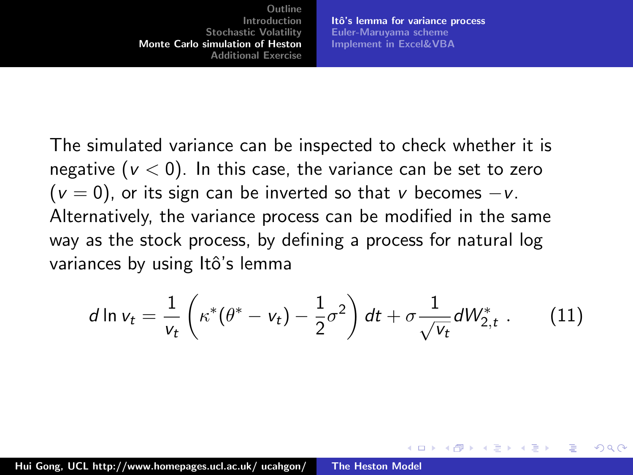Itô's lemma for variance process [Euler-Maruyama scheme](#page-8-0) [Implement in Excel&VBA](#page-9-0)

 $\overline{AB}$   $\overline{B}$   $\overline{C}$ 

へのへ

<span id="page-7-0"></span>The simulated variance can be inspected to check whether it is negative ( $v < 0$ ). In this case, the variance can be set to zero  $(v = 0)$ , or its sign can be inverted so that v becomes  $-v$ . Alternatively, the variance process can be modified in the same way as the stock process, by defining a process for natural log variances by using Itô's lemma

$$
d \ln v_t = \frac{1}{v_t} \left( \kappa^* (\theta^* - v_t) - \frac{1}{2} \sigma^2 \right) dt + \sigma \frac{1}{\sqrt{v_t}} dW_{2,t}^* \ . \tag{11}
$$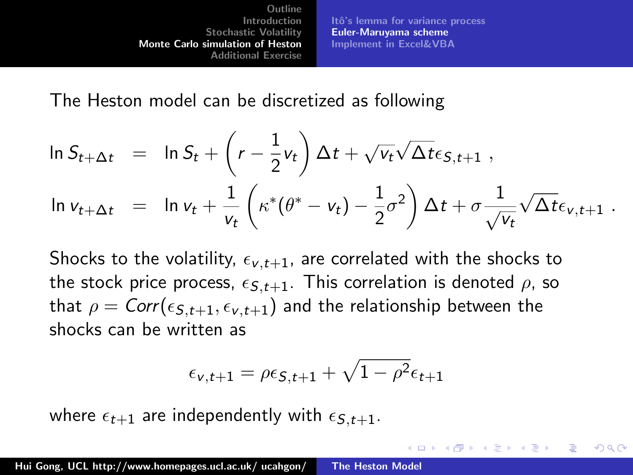Itô's lemma for variance process [Euler-Maruyama scheme](#page-8-0) [Implement in Excel&VBA](#page-9-0)

3 4 4 9 3 4 3

へのへ

<span id="page-8-0"></span>The Heston model can be discretized as following

$$
\ln S_{t+\Delta t} = \ln S_t + \left(r - \frac{1}{2}v_t\right) \Delta t + \sqrt{v_t} \sqrt{\Delta t} \epsilon_{S,t+1} ,
$$
  

$$
\ln v_{t+\Delta t} = \ln v_t + \frac{1}{v_t} \left(\kappa^* (\theta^* - v_t) - \frac{1}{2} \sigma^2\right) \Delta t + \sigma \frac{1}{\sqrt{v_t}} \sqrt{\Delta t} \epsilon_{v,t+1} .
$$

Shocks to the volatility,  $\epsilon_{v,t+1}$ , are correlated with the shocks to the stock price process,  $\epsilon_{S,t+1}$ . This correlation is denoted  $\rho$ , so that  $\rho = Corr(\epsilon_{S,t+1}, \epsilon_{V,t+1})$  and the relationship between the shocks can be written as

$$
\epsilon_{v,t+1} = \rho \epsilon_{\mathcal{S},t+1} + \sqrt{1 - \rho^2} \epsilon_{t+1}
$$

where  $\epsilon_{t+1}$  are independently with  $\epsilon_{S,t+1}$ .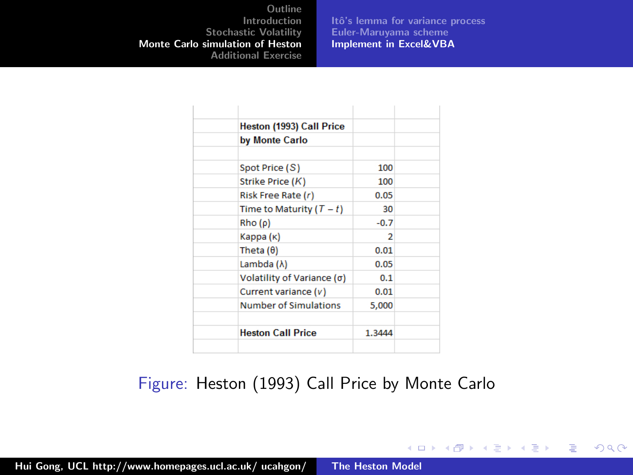Itô's lemma for variance process [Euler-Maruyama scheme](#page-8-0) [Implement in Excel&VBA](#page-9-0)

メロメ メタメ メミメ メミメ

重

 $2Q$ 

<span id="page-9-0"></span>

| Heston (1993) Call Price     |        |  |
|------------------------------|--------|--|
| by Monte Carlo               |        |  |
|                              |        |  |
| Spot Price (S)               | 100    |  |
| Strike Price (K)             | 100    |  |
| Risk Free Rate (r)           | 0.05   |  |
| Time to Maturity $(T - t)$   | 30     |  |
| Rho(p)                       | $-0.7$ |  |
| Карра (к)                    | 2      |  |
| Theta $(0)$                  | 0.01   |  |
| Lambda (λ)                   | 0.05   |  |
| Volatility of Variance (σ)   | 0.1    |  |
| Current variance (v)         | 0.01   |  |
| <b>Number of Simulations</b> | 5,000  |  |
|                              |        |  |
| <b>Heston Call Price</b>     | 1.3444 |  |
|                              |        |  |

## Figure: Heston (1993) Call Price by Monte Carlo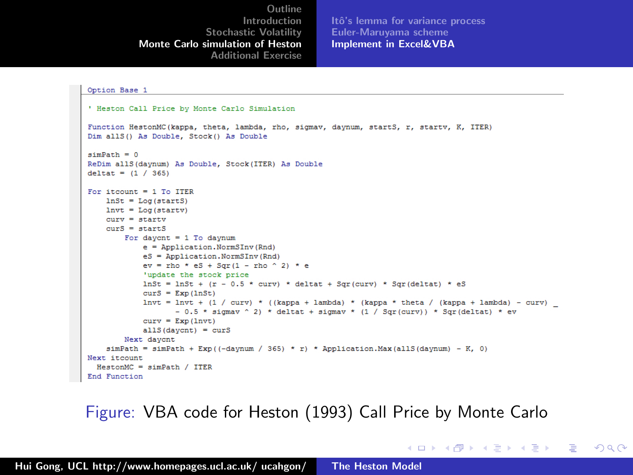Itô's lemma for variance process [Euler-Maruyama scheme](#page-8-0) [Implement in Excel&VBA](#page-9-0)

K ロ ▶ K 御 ▶ K 君 ▶ K 君 ▶ ○ 君

 $\Omega$ 

#### Option Base 1

```
' Heston Call Price by Monte Carlo Simulation
Function HestonMC (kappa, theta, lambda, rho, sigmay, daynum, startS, r, starty, K, ITER)
Dim allS() As Double, Stock() As Double
simPath = 0ReDim allS(davnum) As Double, Stock(ITER) As Double
delta = (1 / 365)For it<br>count = 1 To ITER
    lnSt = Log(statS)lnvt = Log(statv)curv = startvcurS = strantsFor dayont = 1 To daynum
            e = Application. NormSInv (Rnd)
            eS = Application. NormSInv (Rnd)
            ev = rho * eS + Sar(1 - rho ^ 2) * e'update the stock price
            lnSt = lnSt + (r - 0.5 * curve) * delta + Sar(curv) * Sar(deltat) * eScurS = Exp(lnSt)1nvt = 1nvt + (1 / curv) * ((kappa + 1ambda) * (kappa * theta / (kappa + 1ambda) - curv)
                   -0.5 * sigmay \hat{ } 2) * deltat + sigmay * (1 / Sgr (curv)) * Sgr (deltat) * ev
            curv = Exp(Invt)allS(davcnt) = curSNext davont
    simPath = simPath + Exp((-downum / 365) * r) * ADDlication Max (allS(davnum) - K. 0)Next itcount
  HestonMC = simPath / TTEREnd Function
```
#### Figure: VBA code for Heston (1993) Call Price by Monte Carlo